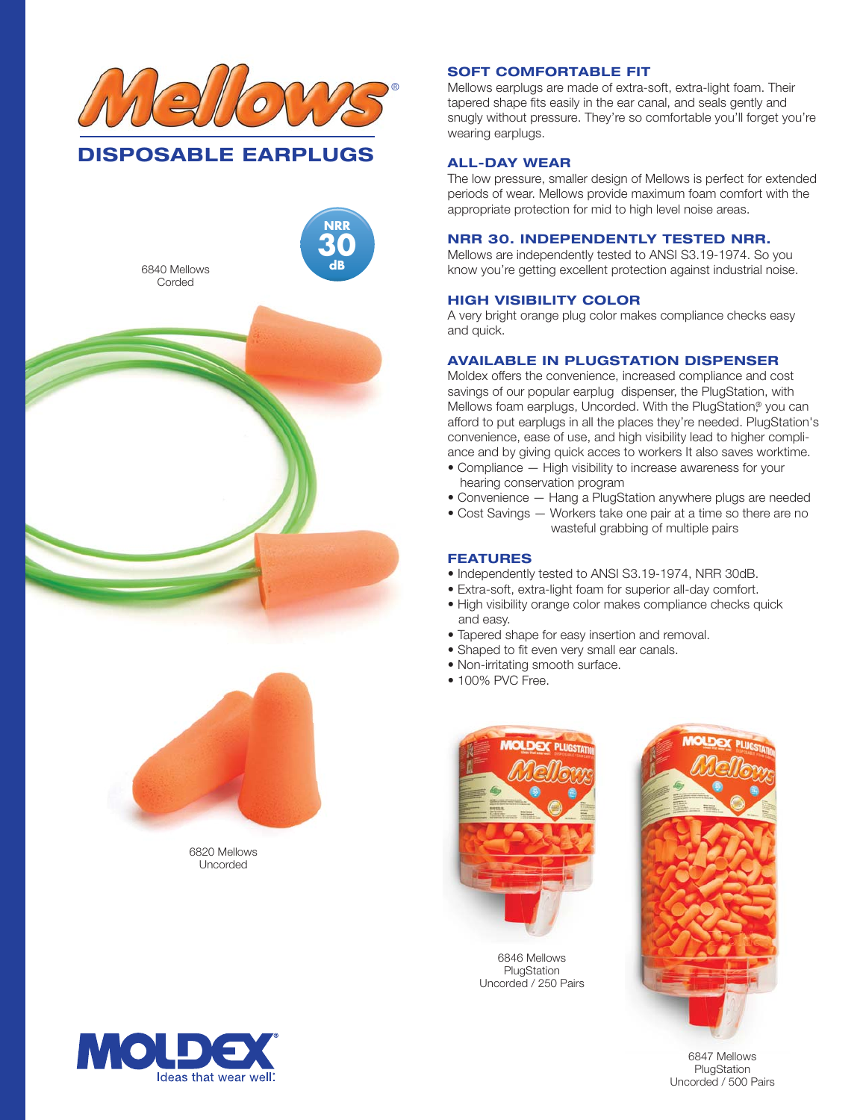





6820 Mellows Uncorded



# **NRR 30. INDEPENDENTLY TESTED NRR.**

Mellows are independently tested to ANSI S3.19-1974. So you know you're getting excellent protection against industrial noise.

The low pressure, smaller design of Mellows is perfect for extended

Mellows earplugs are made of extra-soft, extra-light foam. Their tapered shape fits easily in the ear canal, and seals gently and snugly without pressure. They're so comfortable you'll forget you're

# **HIGH VISIBILITY COLOR**

**SOFT COMFORTABLE FIT**

wearing earplugs.

**ALL-DAY WEAR**

A very bright orange plug color makes compliance checks easy and quick.

## **AVAILABLE IN PLUGSTATION DISPENSER**

Moldex offers the convenience, increased compliance and cost savings of our popular earplug dispenser, the PlugStation, with Mellows foam earplugs, Uncorded. With the PlugStation,<sup>®</sup> you can afford to put earplugs in all the places they're needed. PlugStation's convenience, ease of use, and high visibility lead to higher compliance and by giving quick acces to workers It also saves worktime.

- Compliance High visibility to increase awareness for your hearing conservation program
- Convenience Hang a PlugStation anywhere plugs are needed
- Cost Savings Workers take one pair at a time so there are no wasteful grabbing of multiple pairs

## **FEATURES**

- Independently tested to ANSI S3.19-1974, NRR 30dB.
- Extra-soft, extra-light foam for superior all-day comfort.
- High visibility orange color makes compliance checks quick and easy.
- Tapered shape for easy insertion and removal.
- Shaped to fit even very small ear canals.
- Non-irritating smooth surface.
- 100% PVC Free.



6846 Mellows PlugStation Uncorded / 250 Pairs



6847 Mellows **PlugStation** Uncorded / 500 Pairs